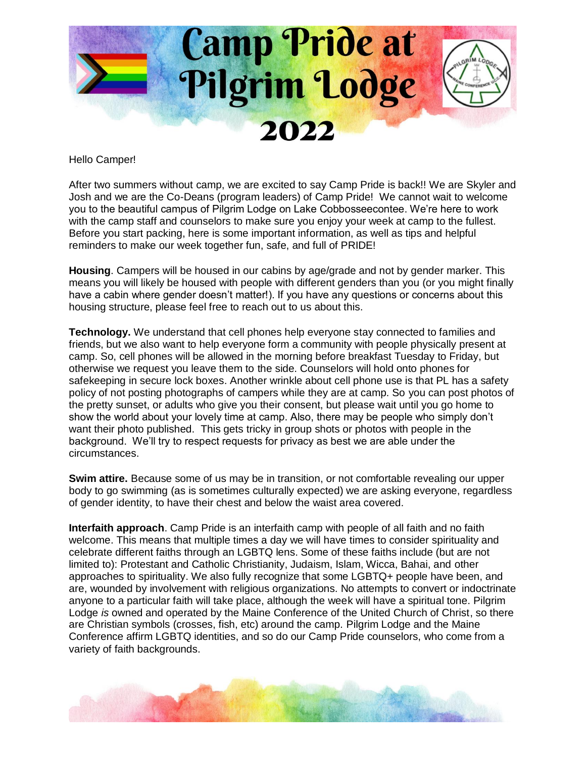

Hello Camper!

After two summers without camp, we are excited to say Camp Pride is back!! We are Skyler and Josh and we are the Co-Deans (program leaders) of Camp Pride! We cannot wait to welcome you to the beautiful campus of Pilgrim Lodge on Lake Cobbosseecontee. We're here to work with the camp staff and counselors to make sure you enjoy your week at camp to the fullest. Before you start packing, here is some important information, as well as tips and helpful reminders to make our week together fun, safe, and full of PRIDE!

**Housing**. Campers will be housed in our cabins by age/grade and not by gender marker. This means you will likely be housed with people with different genders than you (or you might finally have a cabin where gender doesn't matter!). If you have any questions or concerns about this housing structure, please feel free to reach out to us about this.

**Technology.** We understand that cell phones help everyone stay connected to families and friends, but we also want to help everyone form a community with people physically present at camp. So, cell phones will be allowed in the morning before breakfast Tuesday to Friday, but otherwise we request you leave them to the side. Counselors will hold onto phones for safekeeping in secure lock boxes. Another wrinkle about cell phone use is that PL has a safety policy of not posting photographs of campers while they are at camp. So you can post photos of the pretty sunset, or adults who give you their consent, but please wait until you go home to show the world about your lovely time at camp. Also, there may be people who simply don't want their photo published. This gets tricky in group shots or photos with people in the background. We'll try to respect requests for privacy as best we are able under the circumstances.

**Swim attire.** Because some of us may be in transition, or not comfortable revealing our upper body to go swimming (as is sometimes culturally expected) we are asking everyone, regardless of gender identity, to have their chest and below the waist area covered.

**Interfaith approach**. Camp Pride is an interfaith camp with people of all faith and no faith welcome. This means that multiple times a day we will have times to consider spirituality and celebrate different faiths through an LGBTQ lens. Some of these faiths include (but are not limited to): Protestant and Catholic Christianity, Judaism, Islam, Wicca, Bahai, and other approaches to spirituality. We also fully recognize that some LGBTQ+ people have been, and are, wounded by involvement with religious organizations. No attempts to convert or indoctrinate anyone to a particular faith will take place, although the week will have a spiritual tone. Pilgrim Lodge *is* owned and operated by the Maine Conference of the United Church of Christ, so there are Christian symbols (crosses, fish, etc) around the camp. Pilgrim Lodge and the Maine Conference affirm LGBTQ identities, and so do our Camp Pride counselors, who come from a variety of faith backgrounds.

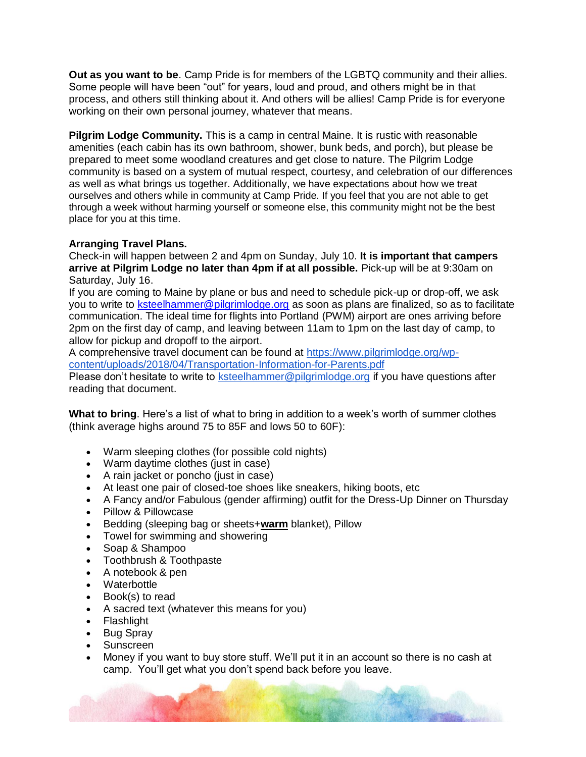**Out as you want to be**. Camp Pride is for members of the LGBTQ community and their allies. Some people will have been "out" for years, loud and proud, and others might be in that process, and others still thinking about it. And others will be allies! Camp Pride is for everyone working on their own personal journey, whatever that means.

**Pilgrim Lodge Community.** This is a camp in central Maine. It is rustic with reasonable amenities (each cabin has its own bathroom, shower, bunk beds, and porch), but please be prepared to meet some woodland creatures and get close to nature. The Pilgrim Lodge community is based on a system of mutual respect, courtesy, and celebration of our differences as well as what brings us together. Additionally, we have expectations about how we treat ourselves and others while in community at Camp Pride. If you feel that you are not able to get through a week without harming yourself or someone else, this community might not be the best place for you at this time.

## **Arranging Travel Plans.**

Check-in will happen between 2 and 4pm on Sunday, July 10. **It is important that campers arrive at Pilgrim Lodge no later than 4pm if at all possible.** Pick-up will be at 9:30am on Saturday, July 16.

If you are coming to Maine by plane or bus and need to schedule pick-up or drop-off, we ask you to write to [ksteelhammer@pilgrimlodge.org](mailto:ksteelhammer@pilgrimlodge.org) as soon as plans are finalized, so as to facilitate communication. The ideal time for flights into Portland (PWM) airport are ones arriving before 2pm on the first day of camp, and leaving between 11am to 1pm on the last day of camp, to allow for pickup and dropoff to the airport.

A comprehensive travel document can be found at [https://www.pilgrimlodge.org/wp](https://www.pilgrimlodge.org/wp-content/uploads/2018/04/Transportation-Information-for-Parents.pdf)[content/uploads/2018/04/Transportation-Information-for-Parents.pdf](https://www.pilgrimlodge.org/wp-content/uploads/2018/04/Transportation-Information-for-Parents.pdf)

Please don't hesitate to write to [ksteelhammer@pilgrimlodge.org](mailto:karen@pilgrimlodge.org) if you have questions after reading that document.

**What to bring**. Here's a list of what to bring in addition to a week's worth of summer clothes (think average highs around 75 to 85F and lows 50 to 60F):

- Warm sleeping clothes (for possible cold nights)
- Warm daytime clothes (just in case)
- A rain jacket or poncho (just in case)
- At least one pair of closed-toe shoes like sneakers, hiking boots, etc
- A Fancy and/or Fabulous (gender affirming) outfit for the Dress-Up Dinner on Thursday
- Pillow & Pillowcase
- Bedding (sleeping bag or sheets+**warm** blanket), Pillow
- Towel for swimming and showering
- Soap & Shampoo
- Toothbrush & Toothpaste
- A notebook & pen
- Waterbottle
- Book(s) to read
- A sacred text (whatever this means for you)
- Flashlight
- Bug Spray
- **Sunscreen**
- Money if you want to buy store stuff. We'll put it in an account so there is no cash at camp. You'll get what you don't spend back before you leave.